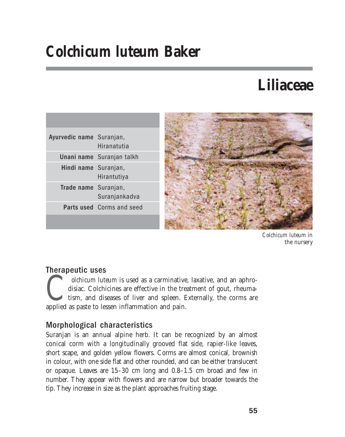# *Colchicum luteum* **Baker**

## **Liliaceae**

| Ayurvedic name Suranjan, | Hiranatutia                      |
|--------------------------|----------------------------------|
|                          | Unani name Suranjan talkh        |
| Hindi name Suranjan,     | Hirantutiya                      |
| Trade name Suranjan,     | Suranjankadva                    |
|                          | <b>Parts used Corms and seed</b> |
|                          |                                  |



*Colchicum luteum* in the nursery

## Therapeutic uses

*Colchicum luteum* is used as a carminative, laxative, and an aphrodisiac. Colchicines are effective in the treatment of gout, rheumatism, and diseases of liver and spleen. Externally, the corms are applied as paste to les disiac. Colchicines are effective in the treatment of gout, rheumatism, and diseases of liver and spleen. Externally, the corms are applied as paste to lessen inflammation and pain.

## Morphological characteristics

Suranjan is an annual alpine herb. It can be recognized by an almost conical corm with a longitudinally grooved flat side, rapier-like leaves, short scape, and golden yellow flowers. Corms are almost conical, brownish in colour, with one side flat and other rounded, and can be either translucent or opaque. Leaves are 15–30 cm long and 0.8–1.5 cm broad and few in number. They appear with flowers and are narrow but broader towards the tip. They increase in size as the plant approaches fruiting stage.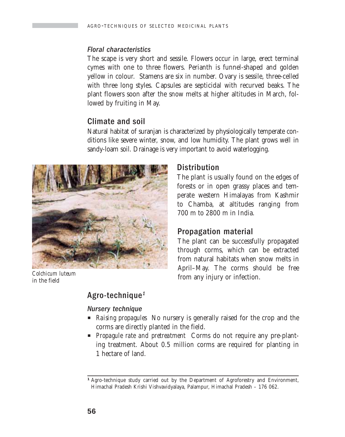#### Floral characteristics

The scape is very short and sessile. Flowers occur in large, erect terminal cymes with one to three flowers. Perianth is funnel-shaped and golden yellow in colour. Stamens are six in number. Ovary is sessile, three-celled with three long styles. Capsules are septicidal with recurved beaks. The plant flowers soon after the snow melts at higher altitudes in March, followed by fruiting in May.

### Climate and soil

Natural habitat of suranjan is characterized by physiologically temperate conditions like severe winter, snow, and low humidity. The plant grows well in sandy-loam soil. Drainage is very important to avoid waterlogging.



*Colchicum luteum* in the field

#### **Distribution**

The plant is usually found on the edges of forests or in open grassy places and temperate western Himalayas from Kashmir to Chamba, at altitudes ranging from 700 m to 2800 m in India.

## Propagation material

The plant can be successfully propagated through corms, which can be extracted from natural habitats when snow melts in April–May. The corms should be free from any injury or infection.

## Agro-technique<sup>1</sup>

#### Nursery technique

- **P** *Raising propagules* No nursery is generally raised for the crop and the corms are directly planted in the field.
- **Propagule rate and pretreatment** Corms do not require any pre-planting treatment. About 0.5 million corms are required for planting in 1 hectare of land.

<sup>&</sup>lt;sup>1</sup> Agro-technique study carried out by the Department of Agroforestry and Environment, Himachal Pradesh Krishi Vishvavidyalaya, Palampur, Himachal Pradesh – 176 062.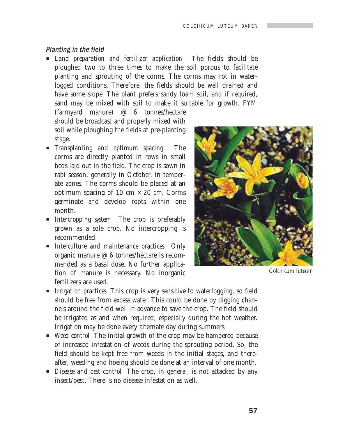#### Planting in the field

**EXTERN** I Land preparation and fertilizer application The fields should be ploughed two to three times to make the soil porous to facilitate planting and sprouting of the corms. The corms may rot in waterlogged conditions. Therefore, the fields should be well drained and have some slope. The plant prefers sandy loam soil, and if required, sand may be mixed with soil to make it suitable for growth. FYM

(farmyard manure) @ 6 tonnes/hectare should be broadcast and properly mixed with soil while ploughing the fields at pre-planting stage.

- P *Transplanting and optimum spacing*The corms are directly planted in rows in small beds laid out in the field. The crop is sown in rabi season, generally in October, in temperate zones. The corms should be placed at an optimum spacing of 10 cm  $\times$  20 cm. Corms germinate and develop roots within one month.
- *Intercropping system* The crop is preferably grown as a sole crop. No intercropping is recommended.
- *<u>Interculture and maintenance practices* Only</u> organic manure @ 6 tonnes/hectare is recommended as a basal dose. No further application of manure is necessary. No inorganic fertilizers are used.



*Colchicum luteum*

- P *Irrigation practices* This crop is very sensitive to waterlogging, so field should be free from excess water. This could be done by digging channels around the field well in advance to save the crop. The field should be irrigated as and when required, especially during the hot weather. Irrigation may be done every alternate day during summers.
- P *Weed control* The initial growth of the crop may be hampered because of increased infestation of weeds during the sprouting period. So, the field should be kept free from weeds in the initial stages, and thereafter, weeding and hoeing should be done at an interval of one month.
- **P** *Disease and pest control* The crop, in general, is not attacked by any insect/pest. There is no disease infestation as well.